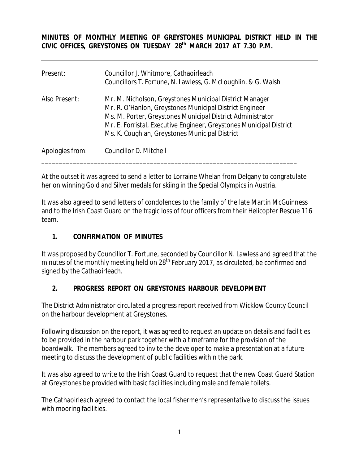**MINUTES OF MONTHLY MEETING OF GREYSTONES MUNICIPAL DISTRICT HELD IN THE CIVIC OFFICES, GREYSTONES ON TUESDAY 28th MARCH 2017 AT 7.30 P.M.** 

| Present:        | Councillor J. Whitmore, Cathaoirleach<br>Councillors T. Fortune, N. Lawless, G. McLoughlin, & G. Walsh                                                                                                                                                                                                    |
|-----------------|-----------------------------------------------------------------------------------------------------------------------------------------------------------------------------------------------------------------------------------------------------------------------------------------------------------|
| Also Present:   | Mr. M. Nicholson, Greystones Municipal District Manager<br>Mr. R. O'Hanlon, Greystones Municipal District Engineer<br>Ms. M. Porter, Greystones Municipal District Administrator<br>Mr. E. Forristal, Executive Engineer, Greystones Municipal District<br>Ms. K. Coughlan, Greystones Municipal District |
| Apologies from: | Councillor D. Mitchell                                                                                                                                                                                                                                                                                    |

At the outset it was agreed to send a letter to Lorraine Whelan from Delgany to congratulate her on winning Gold and Silver medals for skiing in the Special Olympics in Austria.

It was also agreed to send letters of condolences to the family of the late Martin McGuinness and to the Irish Coast Guard on the tragic loss of four officers from their Helicopter Rescue 116 team.

#### **1. CONFIRMATION OF MINUTES**

It was proposed by Councillor T. Fortune, seconded by Councillor N. Lawless and agreed that the minutes of the monthly meeting held on  $28<sup>th</sup>$  February 2017, as circulated, be confirmed and signed by the Cathaoirleach.

#### **2. PROGRESS REPORT ON GREYSTONES HARBOUR DEVELOPMENT**

The District Administrator circulated a progress report received from Wicklow County Council on the harbour development at Greystones.

Following discussion on the report, it was agreed to request an update on details and facilities to be provided in the harbour park together with a timeframe for the provision of the boardwalk. The members agreed to invite the developer to make a presentation at a future meeting to discuss the development of public facilities within the park.

It was also agreed to write to the Irish Coast Guard to request that the new Coast Guard Station at Greystones be provided with basic facilities including male and female toilets.

The Cathaoirleach agreed to contact the local fishermen's representative to discuss the issues with mooring facilities.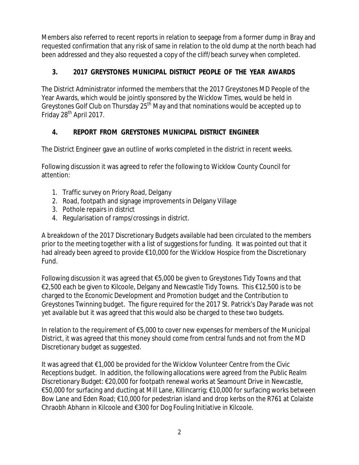Members also referred to recent reports in relation to seepage from a former dump in Bray and requested confirmation that any risk of same in relation to the old dump at the north beach had been addressed and they also requested a copy of the cliff/beach survey when completed.

# **3. 2017 GREYSTONES MUNICIPAL DISTRICT PEOPLE OF THE YEAR AWARDS**

The District Administrator informed the members that the 2017 Greystones MD People of the Year Awards, which would be jointly sponsored by the Wicklow Times, would be held in Greystones Golf Club on Thursday 25<sup>th</sup> May and that nominations would be accepted up to Friday 28<sup>th</sup> April 2017.

## **4. REPORT FROM GREYSTONES MUNICIPAL DISTRICT ENGINEER**

The District Engineer gave an outline of works completed in the district in recent weeks.

Following discussion it was agreed to refer the following to Wicklow County Council for attention:

- 1. Traffic survey on Priory Road, Delgany
- 2. Road, footpath and signage improvements in Delgany Village
- 3. Pothole repairs in district
- 4. Regularisation of ramps/crossings in district.

A breakdown of the 2017 Discretionary Budgets available had been circulated to the members prior to the meeting together with a list of suggestions for funding. It was pointed out that it had already been agreed to provide €10,000 for the Wicklow Hospice from the Discretionary Fund.

Following discussion it was agreed that €5,000 be given to Greystones Tidy Towns and that €2,500 each be given to Kilcoole, Delgany and Newcastle Tidy Towns. This €12,500 is to be charged to the Economic Development and Promotion budget and the Contribution to Greystones Twinning budget. The figure required for the 2017 St. Patrick's Day Parade was not yet available but it was agreed that this would also be charged to these two budgets.

In relation to the requirement of €5,000 to cover new expenses for members of the Municipal District, it was agreed that this money should come from central funds and not from the MD Discretionary budget as suggested.

It was agreed that €1,000 be provided for the Wicklow Volunteer Centre from the Civic Receptions budget. In addition, the following allocations were agreed from the Public Realm Discretionary Budget: €20,000 for footpath renewal works at Seamount Drive in Newcastle, €50,000 for surfacing and ducting at Mill Lane, Killincarrig; €10,000 for surfacing works between Bow Lane and Eden Road; €10,000 for pedestrian island and drop kerbs on the R761 at Colaiste Chraobh Abhann in Kilcoole and €300 for Dog Fouling Initiative in Kilcoole.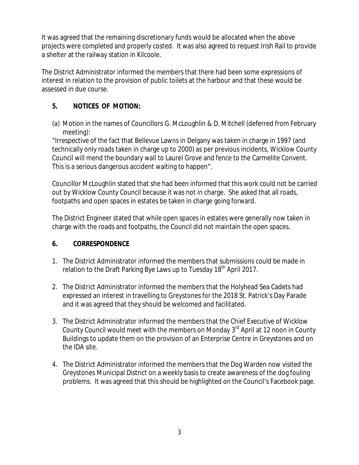It was agreed that the remaining discretionary funds would be allocated when the above projects were completed and properly costed. It was also agreed to request Irish Rail to provide a shelter at the railway station in Kilcoole.

The District Administrator informed the members that there had been some expressions of interest in relation to the provision of public toilets at the harbour and that these would be assessed in due course.

## **5. NOTICES OF MOTION:**

(a) Motion in the names of Councillors G. McLoughlin & D. Mitchell (deferred from February meeting):

"Irrespective of the fact that Bellevue Lawns in Delgany was taken in charge in 1997 (and technically only roads taken in charge up to 2000) as per previous incidents, Wicklow County Council will mend the boundary wall to Laurel Grove and fence to the Carmelite Convent. This is a serious dangerous accident waiting to happen".

Councillor McLoughlin stated that she had been informed that this work could not be carried out by Wicklow County Council because it was not in charge. She asked that all roads, footpaths and open spaces in estates be taken in charge going forward.

The District Engineer stated that while open spaces in estates were generally now taken in charge with the roads and footpaths, the Council did not maintain the open spaces.

### **6. CORRESPONDENCE**

- 1. The District Administrator informed the members that submissions could be made in relation to the Draft Parking Bye Laws up to Tuesday 18<sup>th</sup> April 2017.
- 2. The District Administrator informed the members that the Holyhead Sea Cadets had expressed an interest in travelling to Greystones for the 2018 St. Patrick's Day Parade and it was agreed that they should be welcomed and facilitated.
- 3. The District Administrator informed the members that the Chief Executive of Wicklow County Council would meet with the members on Monday  $3<sup>rd</sup>$  April at 12 noon in County Buildings to update them on the provision of an Enterprise Centre in Greystones and on the IDA site.
- 4. The District Administrator informed the members that the Dog Warden now visited the Greystones Municipal District on a weekly basis to create awareness of the dog fouling problems. It was agreed that this should be highlighted on the Council's Facebook page.